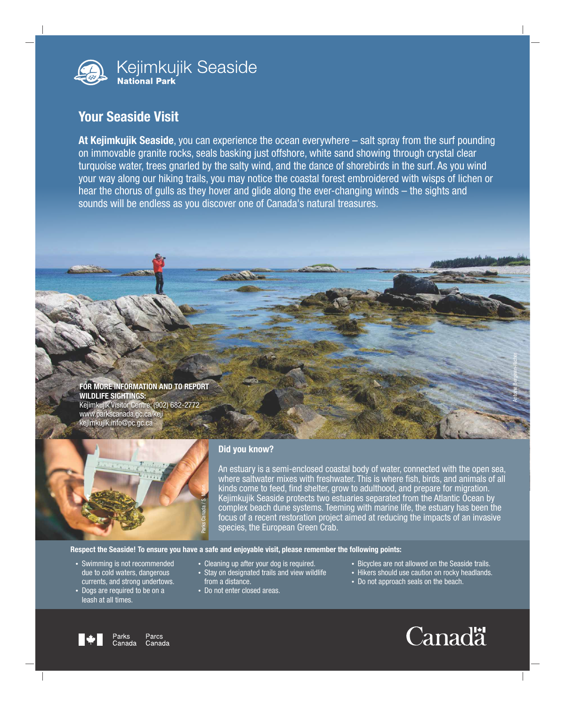

## Your Seaside Visit

At Kejimkujik Seaside, you can experience the ocean everywhere – salt spray from the surf pounding on immovable granite rocks, seals basking just offshore, white sand showing through crystal clear turquoise water, trees gnarled by the salty wind, and the dance of shorebirds in the surf. As you wind your way along our hiking trails, you may notice the coastal forest embroidered with wisps of lichen or hear the chorus of gulls as they hover and glide along the ever-changing winds – the sights and sounds will be endless as you discover one of Canada's natural treasures.

## FOR MORE INFORMATION AND TO REPORT WILDLIFE SIGHTINGS:

Kejimkujik Visitor Centre: (902) 682-2772 www.parkscanada.gc.ca/keji kejimkujik.info@pc.gc.ca



## Did you know?

An estuary is a semi-enclosed coastal body of water, connected with the open sea, where saltwater mixes with freshwater. This is where fish, birds, and animals of all kinds come to feed, find shelter, grow to adulthood, and prepare for migration. Kejimkujik Seaside protects two estuaries separated from the Atlantic Ocean by complex beach dune systems. Teeming with marine life, the estuary has been the focus of a recent restoration project aimed at reducing the impacts of an invasive species, the European Green Crab.

## Respect the Seaside! To ensure you have a safe and enjoyable visit, please remember the following points:

- Swimming is not recommended due to cold waters, dangerous currents, and strong undertows.
- Dogs are required to be on a leash at all times.
- Cleaning up after your dog is required.
- Stay on designated trails and view wildlife from a distance.
- Do not enter closed areas.
- Bicycles are not allowed on the Seaside trails.
- Hikers should use caution on rocky headlands.
- Do not approach seals on the beach.



Antoine Bergevin-Richer